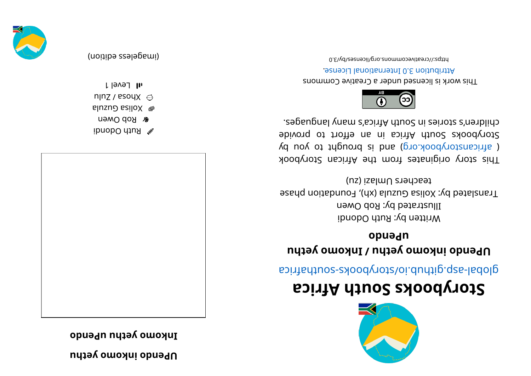**nutable** *inkouno λetpu* 

**D Depay of the Puble opened** 



ibnobO diuR  $\mathscr X$ **&** Rob Owen **alluzuD** sailoX ●  $n|nZ /$  esoy $X \odot$ l level 1



(imageless edition)



## **storybooks South Africa**

aci ri re abological anti-

## **ubtails** by **compto** *letpu***</del>** *letpu**hetpu* **opuadu**

Written by: Ruth Odondi Illustrated by: Rob Owen Frauslated by: Xolisa Guzula (xh), Foundation phase  $(nz)$  iselmUsr ehecaet estable estable to  $n_z$ 

This story originates from the African Storybook  $\chi$ d uoy ot triguor b si bna (pro. koobyr or by Storybooks South Africa in an effort to provide . segaugnal ynam a' soint A trica's ny anglet.



This work is licensed under a Creative Commons . esnecial lanoit annul 0. S noit udint A

0. E\vd\zesnecil\gro. anommons. 0. E\vd\d\adi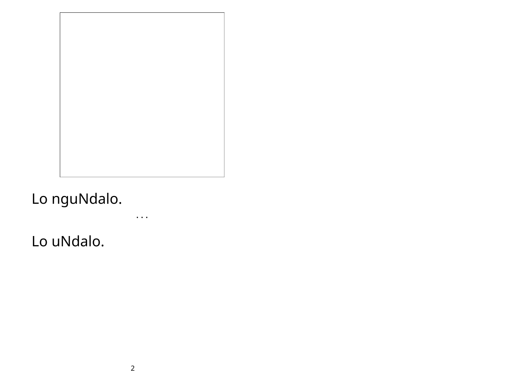## Lo nguNdalo.

 $\ddotsc$  .

Lo uNdalo.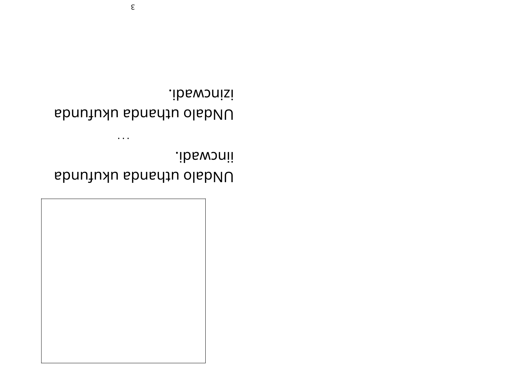

.ibswonii Dunjuyu shanda olabuU

 $\bullet$   $\bullet$   $\bullet$ 

.ib6wonisi Dunjuyu shanda olabuU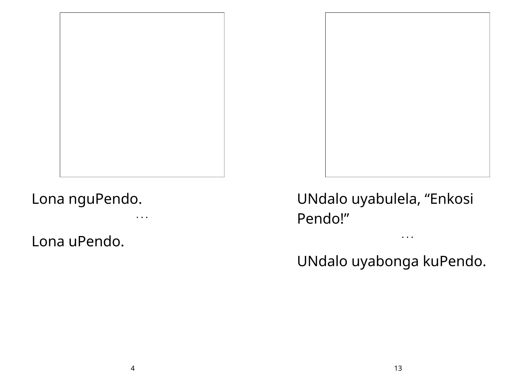

• • •

Lona uPendo.



UNdalo uyabonga kuPendo.

• • •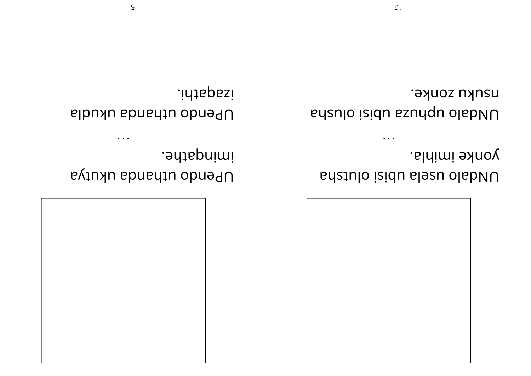

yonke imihla. UNdalo usela upisi olutsha

**DISURE.** by eqsno isidu ssundu olabiud

 $\ddot{\phantom{a}}$ 

.*ad*tapnimi DPendo uthanda ukutya

 $\ddot{\phantom{a}}$ 

.idtapesi DPendo uthanda ukudla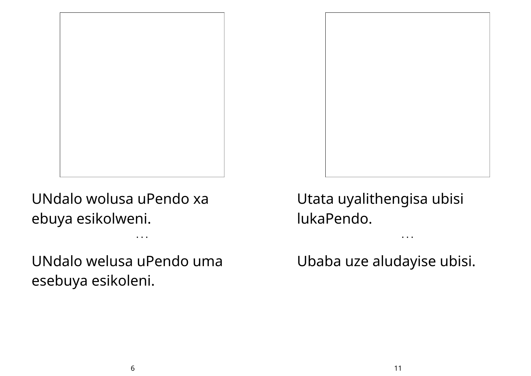

UNdalo wolusa uPendo xa ebuya esikolweni.

UNdalo welusa uPendo uma esebuya esikoleni.

• • •



Utata uyalithengisa ubisi lukaPendo.

Ubaba uze aludayise ubisi.

• • •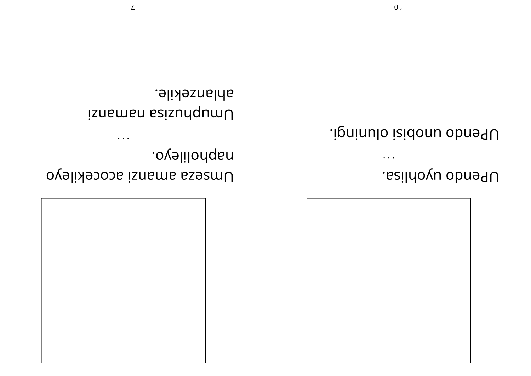

 $\bullet$   $\bullet$   $\bullet$ 

UPendo uyohlisa.

UPendo unobisi oluningi.

.ovelilonqan Umseza amanzi acocekileyo

 $\cdots$ 

ahlanzekile. Umuphusisa namanzi

 $\mathcal{L}$